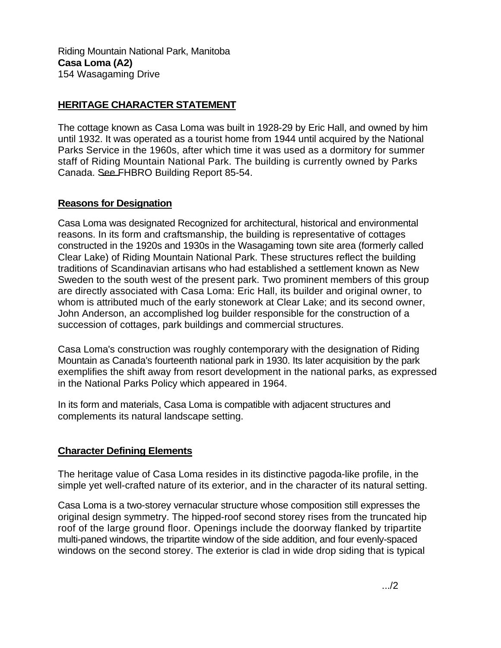Riding Mountain National Park, Manitoba **Casa Loma (A2)**  154 Wasagaming Drive

## **HERITAGE CHARACTER STATEMENT**

The cottage known as Casa Loma was built in 1928-29 by Eric Hall, and owned by him until 1932. It was operated as a tourist home from 1944 until acquired by the National Parks Service in the 1960s, after which time it was used as a dormitory for summer staff of Riding Mountain National Park. The building is currently owned by Parks Canada. See FHBRO Building Report 85-54.

## **Reasons for Designation**

Casa Loma was designated Recognized for architectural, historical and environmental reasons. In its form and craftsmanship, the building is representative of cottages constructed in the 1920s and 1930s in the Wasagaming town site area (formerly called Clear Lake) of Riding Mountain National Park. These structures reflect the building traditions of Scandinavian artisans who had established a settlement known as New Sweden to the south west of the present park. Two prominent members of this group are directly associated with Casa Loma: Eric Hall, its builder and original owner, to whom is attributed much of the early stonework at Clear Lake; and its second owner, John Anderson, an accomplished log builder responsible for the construction of a succession of cottages, park buildings and commercial structures.

Casa Loma's construction was roughly contemporary with the designation of Riding Mountain as Canada's fourteenth national park in 1930. Its later acquisition by the park exemplifies the shift away from resort development in the national parks, as expressed in the National Parks Policy which appeared in 1964.

In its form and materials, Casa Loma is compatible with adjacent structures and complements its natural landscape setting.

## **Character Defining Elements**

The heritage value of Casa Loma resides in its distinctive pagoda-like profile, in the simple yet well-crafted nature of its exterior, and in the character of its natural setting.

Casa Loma is a two-storey vernacular structure whose composition still expresses the original design symmetry. The hipped-roof second storey rises from the truncated hip roof of the large ground floor. Openings include the doorway flanked by tripartite multi-paned windows, the tripartite window of the side addition, and four evenly-spaced windows on the second storey. The exterior is clad in wide drop siding that is typical